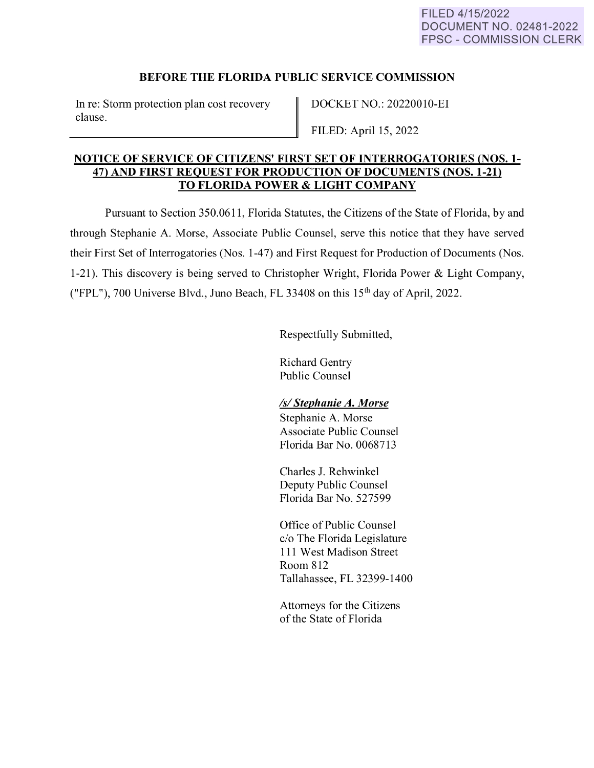# **BEFORE THE FLORIDA PUBLIC SERVICE COMMISSION**

In re: Storm protection plan cost recovery clause.

DOCKET NO.: 20220010-EI

FILED: April 15, 2022

## **NOTICE OF SERVICE OF CITIZENS' FIRST SET OF INTERROGATORIES (NOS. 1- 47) AND FIRST REQUEST FOR PRODUCTION OF DOCUMENTS (NOS. 1-21) TO FLORIDA POWER** & **LIGHT COMPANY**

Pursuant to Section 350.0611 , Florida Statutes, the Citizens of the State of Florida, by and through Stephanie A. Morse, Associate Public Counsel, serve this notice that they have served their First Set of Interrogatories (Nos. 1-47) and First Request for Production of Documents (Nos. 1-21). This discovery is being served to Christopher Wright, Florida Power & Light Company, ("FPL"), 700 Universe Blvd., Juno Beach, FL 33408 on this  $15<sup>th</sup>$  day of April, 2022.

Respectfully Submitted,

Richard Gentry Public Counsel

## *Isl Stephanie A. Morse*

Stephanie A. Morse Associate Public Counsel Florida Bar No. 0068713

Charles J. Rehwinkel Deputy Public Counsel Florida Bar No. 527599

Office of Public Counsel c/o The Florida Legislature 111 West Madison Street Room 812 Tallahassee, FL 32399-1400

Attorneys for the Citizens of the State of Florida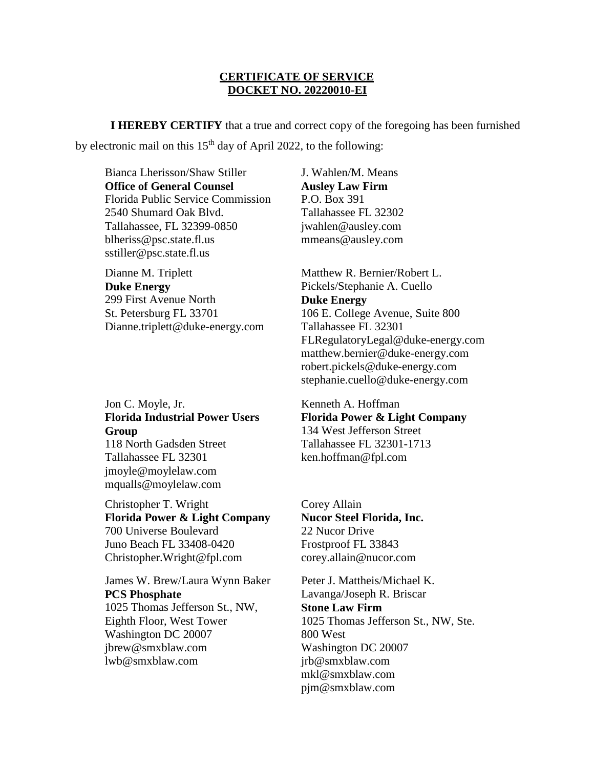#### **CERTIFICATE OF SERVICE DOCKET NO. 20220010-EI**

**I HEREBY CERTIFY** that a true and correct copy of the foregoing has been furnished by electronic mail on this  $15<sup>th</sup>$  day of April 2022, to the following:

Bianca Lherisson/Shaw Stiller **Office of General Counsel** Florida Public Service Commission 2540 Shumard Oak Blvd. Tallahassee, FL 32399-0850 blheriss@psc.state.fl.us sstiller@psc.state.fl.us

Dianne M. Triplett **Duke Energy**  299 First Avenue North St. Petersburg FL 33701 Dianne.triplett@duke-energy.com

Jon C. Moyle, Jr. **Florida Industrial Power Users Group**

118 North Gadsden Street Tallahassee FL 32301 jmoyle@moylelaw.com mqualls@moylelaw.com

Christopher T. Wright **Florida Power & Light Company**  700 Universe Boulevard Juno Beach FL 33408-0420 Christopher.Wright@fpl.com

James W. Brew/Laura Wynn Baker **PCS Phosphate** 1025 Thomas Jefferson St., NW, Eighth Floor, West Tower Washington DC 20007 jbrew@smxblaw.com lwb@smxblaw.com

J. Wahlen/M. Means **Ausley Law Firm**  P.O. Box 391 Tallahassee FL 32302 jwahlen@ausley.com mmeans@ausley.com

Matthew R. Bernier/Robert L. Pickels/Stephanie A. Cuello **Duke Energy**  106 E. College Avenue, Suite 800 Tallahassee FL 32301 FLRegulatoryLegal@duke-energy.com matthew.bernier@duke-energy.com robert.pickels@duke-energy.com stephanie.cuello@duke-energy.com

Kenneth A. Hoffman **Florida Power & Light Company**  134 West Jefferson Street Tallahassee FL 32301-1713 ken.hoffman@fpl.com

Corey Allain **Nucor Steel Florida, Inc.** 22 Nucor Drive Frostproof FL 33843 corey.allain@nucor.com

Peter J. Mattheis/Michael K. Lavanga/Joseph R. Briscar **Stone Law Firm** 1025 Thomas Jefferson St., NW, Ste. 800 West Washington DC 20007 jrb@smxblaw.com mkl@smxblaw.com pjm@smxblaw.com